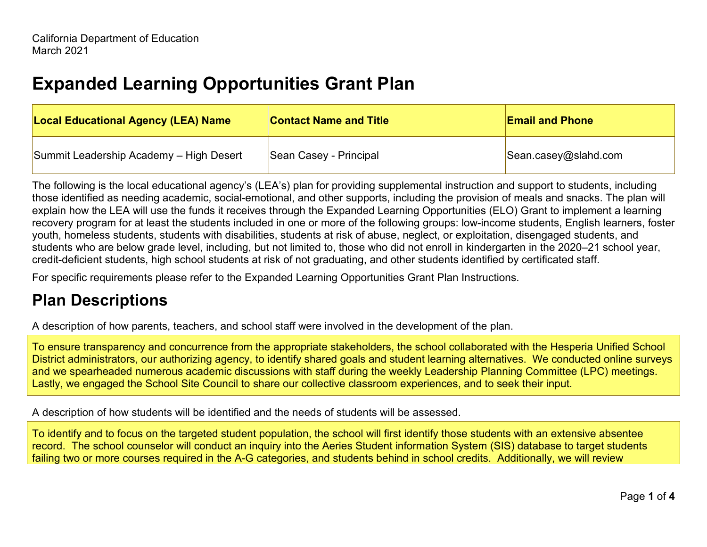## **Expanded Learning Opportunities Grant Plan**

| <b>Local Educational Agency (LEA) Name</b> | <b>Contact Name and Title</b> | <b>Email and Phone</b> |
|--------------------------------------------|-------------------------------|------------------------|
| Summit Leadership Academy - High Desert    | Sean Casey - Principal        | Sean.casey@slahd.com   |

The following is the local educational agency's (LEA's) plan for providing supplemental instruction and support to students, including those identified as needing academic, social-emotional, and other supports, including the provision of meals and snacks. The plan will explain how the LEA will use the funds it receives through the Expanded Learning Opportunities (ELO) Grant to implement a learning recovery program for at least the students included in one or more of the following groups: low-income students, English learners, foster youth, homeless students, students with disabilities, students at risk of abuse, neglect, or exploitation, disengaged students, and students who are below grade level, including, but not limited to, those who did not enroll in kindergarten in the 2020–21 school year, credit-deficient students, high school students at risk of not graduating, and other students identified by certificated staff.

For specific requirements please refer to the Expanded Learning Opportunities Grant Plan Instructions.

## **Plan Descriptions**

A description of how parents, teachers, and school staff were involved in the development of the plan.

To ensure transparency and concurrence from the appropriate stakeholders, the school collaborated with the Hesperia Unified School District administrators, our authorizing agency, to identify shared goals and student learning alternatives. We conducted online surveys and we spearheaded numerous academic discussions with staff during the weekly Leadership Planning Committee (LPC) meetings. Lastly, we engaged the School Site Council to share our collective classroom experiences, and to seek their input.

A description of how students will be identified and the needs of students will be assessed.

To identify and to focus on the targeted student population, the school will first identify those students with an extensive absentee record. The school counselor will conduct an inquiry into the Aeries Student information System (SIS) database to target students failing two or more courses required in the A-G categories, and students behind in school credits. Additionally, we will review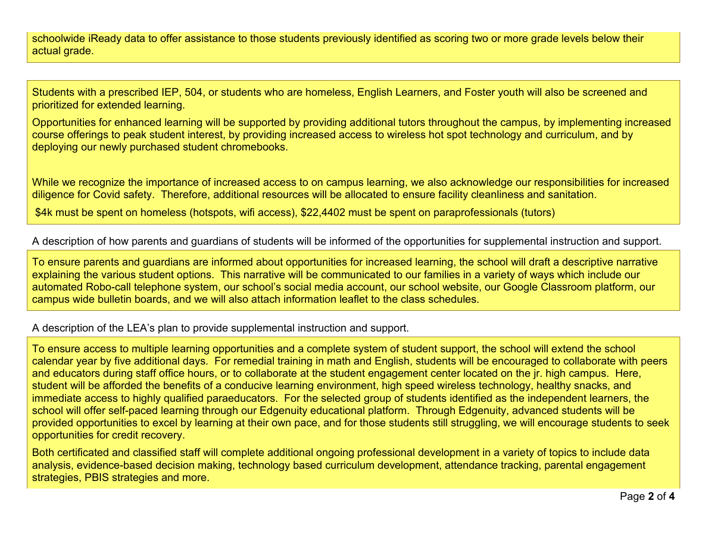schoolwide iReady data to offer assistance to those students previously identified as scoring two or more grade levels below their actual grade.

Students with a prescribed IEP, 504, or students who are homeless, English Learners, and Foster youth will also be screened and prioritized for extended learning.

Opportunities for enhanced learning will be supported by providing additional tutors throughout the campus, by implementing increased course offerings to peak student interest, by providing increased access to wireless hot spot technology and curriculum, and by deploying our newly purchased student chromebooks.

While we recognize the importance of increased access to on campus learning, we also acknowledge our responsibilities for increased diligence for Covid safety. Therefore, additional resources will be allocated to ensure facility cleanliness and sanitation.

\$4k must be spent on homeless (hotspots, wifi access), \$22,4402 must be spent on paraprofessionals (tutors)

A description of how parents and guardians of students will be informed of the opportunities for supplemental instruction and support.

To ensure parents and guardians are informed about opportunities for increased learning, the school will draft a descriptive narrative explaining the various student options. This narrative will be communicated to our families in a variety of ways which include our automated Robo-call telephone system, our school's social media account, our school website, our Google Classroom platform, our campus wide bulletin boards, and we will also attach information leaflet to the class schedules.

## A description of the LEA's plan to provide supplemental instruction and support.

To ensure access to multiple learning opportunities and a complete system of student support, the school will extend the school calendar year by five additional days. For remedial training in math and English, students will be encouraged to collaborate with peers and educators during staff office hours, or to collaborate at the student engagement center located on the jr. high campus. Here, student will be afforded the benefits of a conducive learning environment, high speed wireless technology, healthy snacks, and immediate access to highly qualified paraeducators. For the selected group of students identified as the independent learners, the school will offer self-paced learning through our Edgenuity educational platform. Through Edgenuity, advanced students will be provided opportunities to excel by learning at their own pace, and for those students still struggling, we will encourage students to seek opportunities for credit recovery.

Both certificated and classified staff will complete additional ongoing professional development in a variety of topics to include data analysis, evidence-based decision making, technology based curriculum development, attendance tracking, parental engagement strategies, PBIS strategies and more.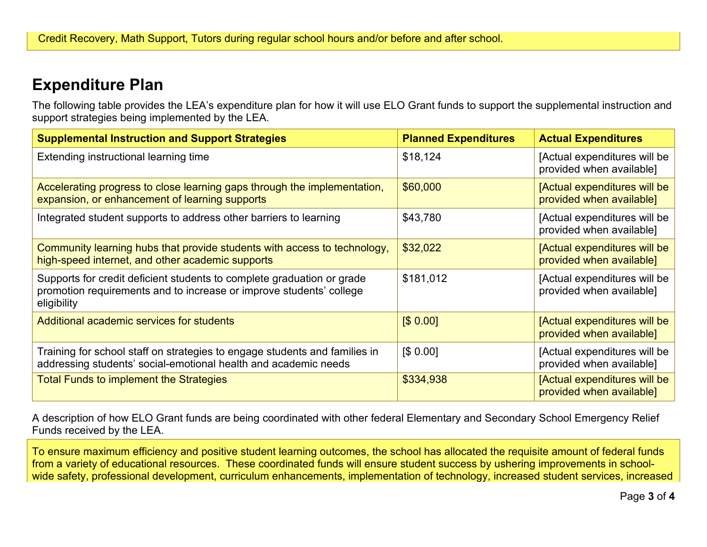## **Expenditure Plan**

The following table provides the LEA's expenditure plan for how it will use ELO Grant funds to support the supplemental instruction and support strategies being implemented by the LEA.

| <b>Supplemental Instruction and Support Strategies</b>                                                                                                       | <b>Planned Expenditures</b> | <b>Actual Expenditures</b>                               |
|--------------------------------------------------------------------------------------------------------------------------------------------------------------|-----------------------------|----------------------------------------------------------|
| Extending instructional learning time                                                                                                                        | \$18,124                    | [Actual expenditures will be<br>provided when available] |
| Accelerating progress to close learning gaps through the implementation,<br>expansion, or enhancement of learning supports                                   | \$60,000                    | [Actual expenditures will be<br>provided when available] |
| Integrated student supports to address other barriers to learning                                                                                            | \$43,780                    | [Actual expenditures will be<br>provided when available] |
| Community learning hubs that provide students with access to technology,<br>high-speed internet, and other academic supports                                 | \$32,022                    | [Actual expenditures will be<br>provided when available] |
| Supports for credit deficient students to complete graduation or grade<br>promotion requirements and to increase or improve students' college<br>eligibility | \$181,012                   | [Actual expenditures will be<br>provided when available] |
| Additional academic services for students                                                                                                                    | [\$0.00]                    | [Actual expenditures will be<br>provided when available] |
| Training for school staff on strategies to engage students and families in<br>addressing students' social-emotional health and academic needs                | [\$0.00]                    | [Actual expenditures will be<br>provided when available] |
| <b>Total Funds to implement the Strategies</b>                                                                                                               | \$334,938                   | [Actual expenditures will be<br>provided when available] |

A description of how ELO Grant funds are being coordinated with other federal Elementary and Secondary School Emergency Relief Funds received by the LEA.

To ensure maximum efficiency and positive student learning outcomes, the school has allocated the requisite amount of federal funds from a variety of educational resources. These coordinated funds will ensure student success by ushering improvements in schoolwide safety, professional development, curriculum enhancements, implementation of technology, increased student services, increased